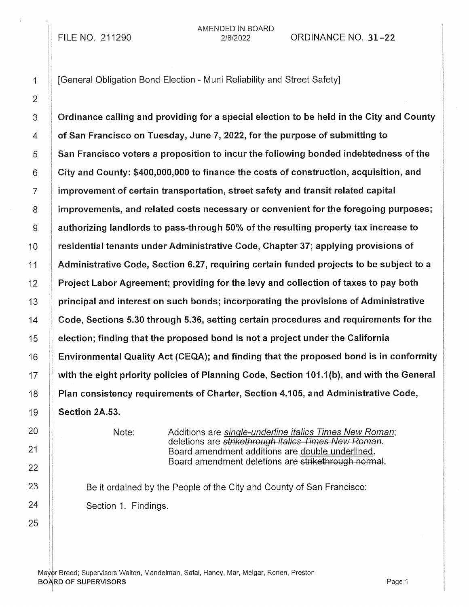FILE NO. 211290

AMENDED IN BOARD

21812022 ORDINANCE NO. 31-22

3  $\parallel$  Ordinance calling and providing for a special election to be held in the City and County 4 **of San Francisco on Tuesday, June 7, 2022, for the purpose of submitting to**  $5 \parallel$  San Francisco voters a proposition to incur the following bonded indebtedness of the  $6$  | City and County: \$400,000,000 to finance the costs of construction, acquisition, and 7 improvement of certain transportation, street safety and transit related capital 8 improvements, and related costs necessary or convenient for the foregoing purposes;  $9$   $\parallel$  authorizing landlords to pass-through 50% of the resulting property tax increase to 10 | residential tenants under Administrative Code, Chapter 37; applying provisions of 11 Administrative Code, Section 6.27, requiring certain funded projects to be subject to a 12 Project Labor Agreement; providing for the levy and collection of taxes to pay both  $13$  | principal and interest on such bonds; incorporating the provisions of Administrative 14 Code, Sections 5.30 through 5.36, setting certain procedures and requirements for the 15 election; finding that the proposed bond is not a project under the California 16 Environmental Quality Act (CEQA); and finding that the proposed bond is in conformity 17 with the eight priority policies of Planning Code, Section 101.1(b), and with the General 18 | Plan consistency requirements of Charter, Section 4.105, and Administrative Code, 19 **Section 2A.53.** 

Note: Additions are single-underline italics Times New Roman; deletions are strikethrough italics Times New Roman. Board amendment additions are double underlined. Board amendment deletions are strikethrough normal.

Be it ordained by the People of the City and County of San Francisco: Section 1. Findings.

Mayor Breed; Supervisors Walton, Mandelman, Safai, Haney, Mar, Melgar, Ronen, Preston **BOARD OF SUPERVISORS Example 2** and the set of the set of the set of the set of the set of the set of the set of the set of the set of the set of the set of the set of the set of the set of the set of the set of the set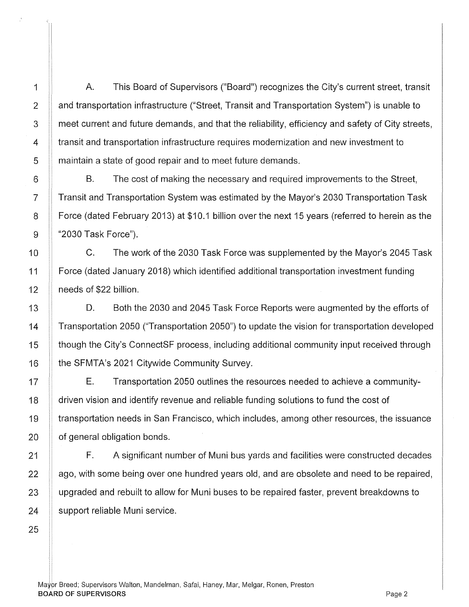A. This Board of Supervisors ("Board") recognizes the City's current street, transit and transportation infrastructure ("Street, Transit and Transportation System") is unable to meet current and future demands, and that the reliability, efficiency and safety of City streets, transit and transportation infrastructure requires modernization and new investment to maintain a state of good repair and to meet future demands.

B. The cost of making the necessary and required improvements to the Street, Transit and Transportation System was estimated by the Mayor's 2030 Transportation Task Force (dated February 2013) at \$10.1 billion over the next 15 years (referred to herein as the "2030 Task Force").

C. The work of the 2030 Task Force was supplemented by the Mayor's 2045 Task Force (dated January 2018) which identified additional transportation investment funding needs of \$22 billion.

D. Both the 2030 and 2045 Task Force Reports were augmented by the efforts of Transportation 2050 ("Transportation 2050") to update the vision for transportation developed though the City's ConnectSF process, including additional community input received through the SFMTA's 2021 Citywide Community Survey.

E. Transportation 2050 outlines the resources needed to achieve a community-**driven vision and identify revenue and reliable funding solutions to fund the cost of** transportation needs in San Francisco, which includes, among other resources, the issuance **c** of general obligation bonds.

F. A significant number of Muni bus yards and facilities were constructed decades ago, with some being over one hundred years old, and are obsolete and need to be repaired, upgraded and rebuilt to allow for Muni buses to be repaired faster, prevent breakdowns to support reliable Muni service.

 $\frac{1}{2}$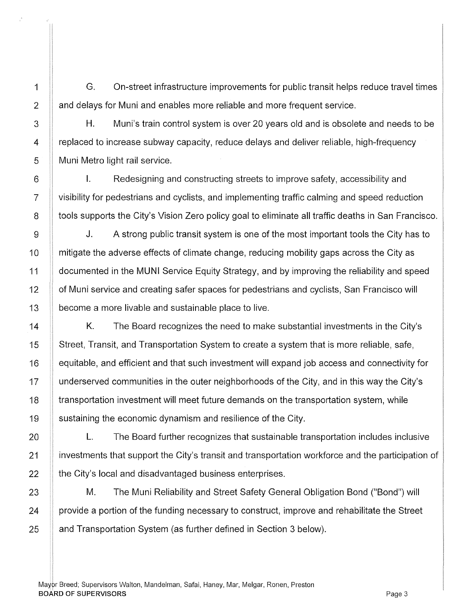1 G. On-street infrastructure improvements for public transit helps reduce travel times 2 **and delays for Muni and enables more reliable and more frequent service.** 

H. Muni's train control system is over 20 years old and is obsolete and needs to be replaced to increase subway capacity, reduce delays and deliver reliable, high-frequency Muni Metro light rail service.

3

4

5

6

7

8

9

10

11

12

13

14

15

16

17

18

19

20

21

22

23

24

25

I. Redesigning and constructing streets to improve safety, accessibility and visibility for pedestrians and cyclists, and implementing traffic calming and speed reduction tools supports the City's Vision Zero policy goal to eliminate all traffic deaths in San Francisco.

J. A strong public transit system is one of the most important tools the City has to mitigate the adverse effects of climate change, reducing mobility gaps across the City as documented in the MUNI Service Equity Strategy, and by improving the reliability and speed of Muni service and creating safer spaces for pedestrians and cyclists, San Francisco will become a more livable and sustainable place to live.

K. The Board recognizes the need to make substantial investments in the City's Street, Transit, and Transportation System to create a system that is more reliable, safe, equitable, and efficient and that such investment will expand job access and connectivity for underserved communities in the outer neighborhoods of the City, and in this way the City's transportation investment will meet future demands on the transportation system, while sustaining the economic dynamism and resilience of the City.

L. The Board further recognizes that sustainable transportation includes inclusive investments that support the City's transit and transportation workforce and the participation of the City's local and disadvantaged business enterprises.

M. The Muni Reliability and Street Safety General Obligation Bond ("Bond") will provide a portion of the funding necessary to construct, improve and rehabilitate the Street and Transportation System (as further defined in Section 3 below).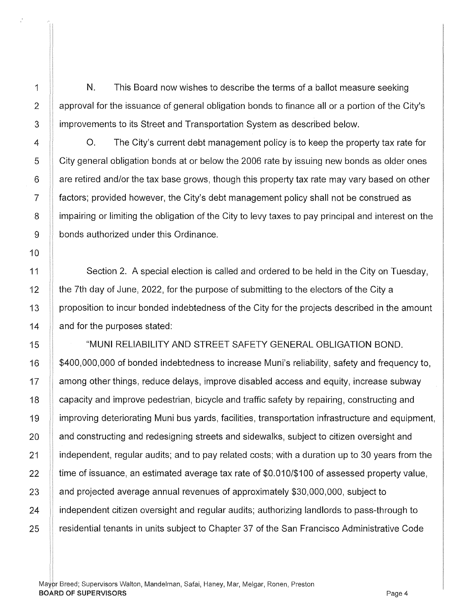1 N. This Board now wishes to describe the terms of a ballot measure seeking 2  $\parallel$  approval for the issuance of general obligation bonds to finance all or a portion of the City's 3 | improvements to its Street and Transportation System as described below.

4 **4 1. If the City's current debt management policy is to keep the property tax rate for** 5 | City general obligation bonds at or below the 2006 rate by issuing new bonds as older ones 6 are retired and/or the tax base grows, though this property tax rate may vary based on other 7 factors; provided however, the City's debt management policy shall not be construed as 8 iga-impairing or limiting the obligation of the City to levy taxes to pay principal and interest on the 9 **bonds authorized under this Ordinance.** 

Section 2. A special election is called and ordered to be held in the City on Tuesday, the 7th day of June, 2022, for the purpose of submitting to the electors of the City a proposition to incur bonded indebtedness of the City for the projects described in the amount and for the purposes stated:

"MUNI RELIABILITY AND STREET SAFETY GENERAL OBLIGATION BOND. \$400,000,000 of bonded indebtedness to increase Muni's reliability, safety and frequency to, among other things, reduce delays, improve disabled access and equity, increase subway capacity and improve pedestrian, bicycle and traffic safety by repairing, constructing and improving deteriorating Muni bus yards, facilities, transportation infrastructure and equipment, and constructing and redesigning streets and sidewalks, subject to citizen oversight and independent, regular audits; and to pay related costs; with a duration up to 30 years from the time of issuance, an estimated average tax rate of \$0.010/\$100 of assessed property value, and projected average annual revenues of approximately \$30,000,000, subject to independent citizen oversight and regular audits; authorizing landlords to pass-through to residential tenants in units subject to Chapter 37 of the San Francisco Administrative Code

Ma¥pr Breed; Supervisors Walton, Mandelman, Safai, Haney, Mar, Melgar, Ronen, Preston BOARD OF SUPERVISORS Page 4

i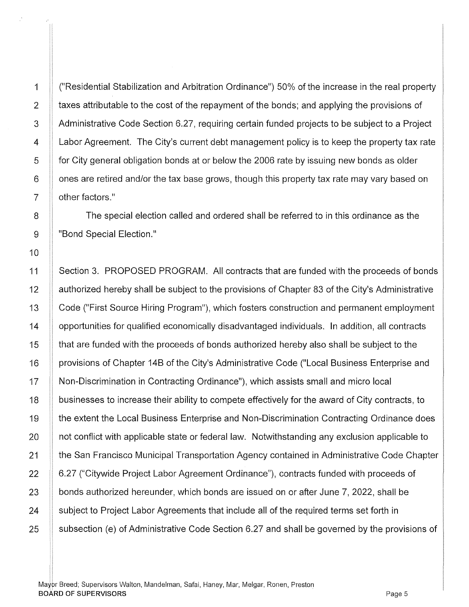i!

1 ("Residential Stabilization and Arbitration Ordinance") 50% of the increase in the real property 2 taxes attributable to the cost of the repayment of the bonds; and applying the provisions of 3 Administrative Code Section 6.27, requiring certain funded projects to be subject to a Project 4 A Labor Agreement. The City's current debt management policy is to keep the property tax rate 5 for City general obligation bonds at or below the 2006 rate by issuing new bonds as older  $6$  | ones are retired and/or the tax base grows, though this property tax rate may vary based on 7 **b** other factors."

8 **The special election called and ordered shall be referred to in this ordinance as the** 9 || "Bond Special Election."

11 Section 3. PROPOSED PROGRAM. All contracts that are funded with the proceeds of bonds 12 Authorized hereby shall be subject to the provisions of Chapter 83 of the City's Administrative 13 Code ("First Source Hiring Program"), which fosters construction and permanent employment 14 **14** opportunities for qualified economically disadvantaged individuals. In addition, all contracts 15 that are funded with the proceeds of bonds authorized hereby also shall be subject to the 16 | provisions of Chapter 14B of the City's Administrative Code ("Local Business Enterprise and 17 | Non-Discrimination in Contracting Ordinance"), which assists small and micro local 18 **businesses to increase their ability to compete effectively for the award of City contracts, to** 19 **the extent the Local Business Enterprise and Non-Discrimination Contracting Ordinance does**  $20$  | not conflict with applicable state or federal law. Notwithstanding any exclusion applicable to 21 **the San Francisco Municipal Transportation Agency contained in Administrative Code Chapter** 22 | 6.27 ("Citywide Project Labor Agreement Ordinance"), contracts funded with proceeds of  $23$  | bonds authorized hereunder, which bonds are issued on or after June 7, 2022, shall be 24 Subject to Project Labor Agreements that include all of the required terms set forth in 25  $\parallel$  subsection (e) of Administrative Code Section 6.27 and shall be governed by the provisions of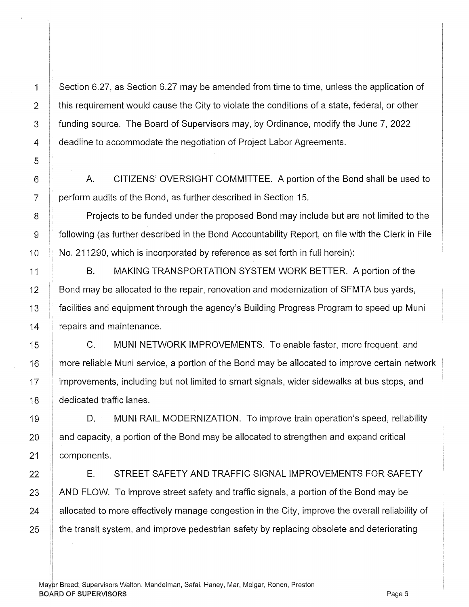,,

1 Section 6.27, as Section 6.27 may be amended from time to time, unless the application of  $2$   $\parallel$  this requirement would cause the City to violate the conditions of a state, federal, or other 3 funding source. The Board of Supervisors may, by Ordinance, modify the June 7, 2022 4 **deadline to accommodate the negotiation of Project Labor Agreements.** 

A. CITIZENS' OVERSIGHT COMMITTEE. A portion of the Bond shall be used to perform audits of the Bond, as further described in Section 15.

Projects to be funded under the proposed Bond may include but are not limited to the following (as further described in the Bond Accountability Report, on file with the Clerk in File No. 211290, which is incorporated by reference as set forth in full herein):

B. MAKING TRANSPORTATION SYSTEM WORK BETTER. A portion of the Bond may be allocated to the repair, renovation and modernization of SFMTA bus yards, facilities and equipment through the agency's Building Progress Program to speed up Muni repairs and maintenance.

C. MUNI NETWORK IMPROVEMENTS. To enable faster, more frequent, and more reliable Muni service, a portion of the Bond may be allocated to improve certain network improvements, including but not limited to smart signals, wider sidewalks at bus stops, and dedicated traffic lanes.

D. MUNI RAIL MODERNIZATION. To improve train operation's speed, reliability and capacity, a portion of the Bond may be allocated to strengthen and expand critical components.

E. STREET SAFETY AND TRAFFIC SIGNAL IMPROVEMENTS FOR SAFETY AND FLOW. To improve street safety and traffic signals, a portion of the Bond may be allocated to more effectively manage congestion in the City, improve the overall reliability of the transit system, and improve pedestrian safety by replacing obsolete and deteriorating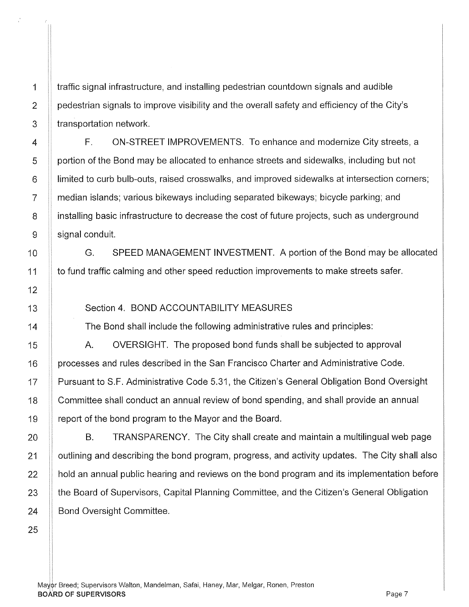1 traffic signal infrastructure, and installing pedestrian countdown signals and audible 2 | pedestrian signals to improve visibility and the overall safety and efficiency of the City's  $3$  | transportation network.

F. ON-STREET IMPROVEMENTS. To enhance and modernize City streets, a portion of the Bond may be allocated to enhance streets and sidewalks, including but not limited to curb bulb-outs, raised crosswalks, and improved sidewalks at intersection corners; median islands; various bikeways including separated bikeways; bicycle parking; and installing basic infrastructure to decrease the cost of future projects, such as underground signal conduit.

G. SPEED MANAGEMENT INVESTMENT. A portion of the Bond may be allocated to fund traffic calming and other speed reduction improvements to make streets safer.

## Section 4. BOND ACCOUNTABILITY MEASURES

The Bond shall include the following administrative rules and principles:

A. OVERSIGHT. The proposed bond funds shall be subjected to approval processes and rules described in the San Francisco Charter and Administrative Code. Pursuant to S.F. Administrative Code 5.31, the Citizen's General Obligation Bond Oversight Committee shall conduct an annual review of bond spending, and shall provide an annual report of the bond program to the Mayor and the Board.

B. TRANSPARENCY. The City shall create and maintain a multilingual web page 21 | outlining and describing the bond program, progress, and activity updates. The City shall also  $22$   $\parallel$  hold an annual public hearing and reviews on the bond program and its implementation before 23 the Board of Supervisors, Capital Planning Committee, and the Citizen's General Obligation 24 **Bond Oversight Committee.** 

Mayor Breed; Supervisors Walton, Mandelman, Safai, Haney, Mar, Melgar, Ronen, Preston BOARD OF SUPERVISORS AND RESERVE TO A SERVER THE SUPERVISORS AND RESERVE TO A SUPERVISORS AND RESERVE TO A SUPERVISORS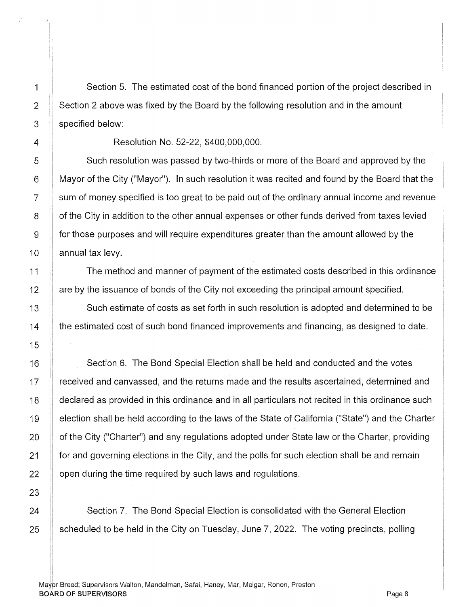1 Section 5. The estimated cost of the bond financed portion of the project described in 2 | Section 2 above was fixed by the Board by the following resolution and in the amount 3 specified below:

4 Resolution No. 52-22, \$400,000,000.

5 Such resolution was passed by two-thirds or more of the Board and approved by the 6 Mayor of the City ("Mayor"). In such resolution it was recited and found by the Board that the 7 sum of money specified is too great to be paid out of the ordinary annual income and revenue 8 | of the City in addition to the other annual expenses or other funds derived from taxes levied 9 for those purposes and will require expenditures greater than the amount allowed by the 10  $\parallel$  annual tax levy.

11 The method and manner of payment of the estimated costs described in this ordinance 12 **12** are by the issuance of bonds of the City not exceeding the principal amount specified.

13 Such estimate of costs as set forth in such resolution is adopted and determined to be 14 **the estimated cost of such bond financed improvements and financing, as designed to date.** 

Section 6. The Bond Special Election shall be held and conducted and the votes received and canvassed, and the returns made and the results ascertained, determined and declared as provided in this ordinance and in all particulars not recited in this ordinance such election shall be held according to the laws of the State of California ("State") and the Charter of the City ("Charter") and any regulations adopted under State law or the Charter, providing for and governing elections in the City, and the polls for such election shall be and remain open during the time required by such laws and regulations.

Section 7. The Bond Special Election is consolidated with the General Election scheduled to be held in the City on Tuesday, June 7, 2022. The voting precincts, polling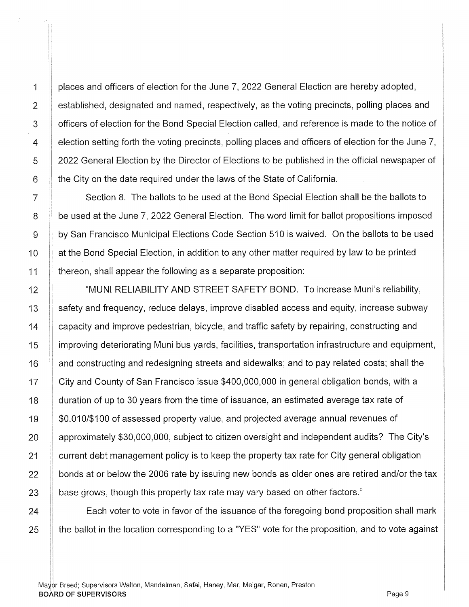1 | places and officers of election for the June 7, 2022 General Election are hereby adopted, 2 **established, designated and named, respectively, as the voting precincts, polling places and** 3 **S** officers of election for the Bond Special Election called, and reference is made to the notice of  $4$   $\parallel$  election setting forth the voting precincts, polling places and officers of election for the June 7, 5 | 2022 General Election by the Director of Elections to be published in the official newspaper of 6 the City on the date required under the laws of the State of California.

7 | Section 8. The ballots to be used at the Bond Special Election shall be the ballots to 8 be used at the June 7, 2022 General Election. The word limit for ballot propositions imposed 9 by San Francisco Municipal Elections Code Section 510 is waived. On the ballots to be used 10 | at the Bond Special Election, in addition to any other matter required by law to be printed 11 thereon, shall appear the following as a separate proposition:

12 **WEDEPT STATES IN ALCOCATE SAFETY BOND.** To increase Muni's reliability, 13 Safety and frequency, reduce delays, improve disabled access and equity, increase subway 14 **1** capacity and improve pedestrian, bicycle, and traffic safety by repairing, constructing and 15 improving deteriorating Muni bus yards, facilities, transportation infrastructure and equipment, 16 **1** and constructing and redesigning streets and sidewalks; and to pay related costs; shall the 17 | City and County of San Francisco issue \$400,000,000 in general obligation bonds, with a 18 duration of up to 30 years from the time of issuance, an estimated average tax rate of 19 | \$0.010/\$100 of assessed property value, and projected average annual revenues of 20  $\parallel$  approximately \$30,000,000, subject to citizen oversight and independent audits? The City's 21 | current debt management policy is to keep the property tax rate for City general obligation  $22$   $\parallel$  bonds at or below the 2006 rate by issuing new bonds as older ones are retired and/or the tax  $23$  | base grows, though this property tax rate may vary based on other factors."

24 **Each voter to vote in favor of the issuance of the foregoing bond proposition shall mark** 25 | the ballot in the location corresponding to a "YES" vote for the proposition, and to vote against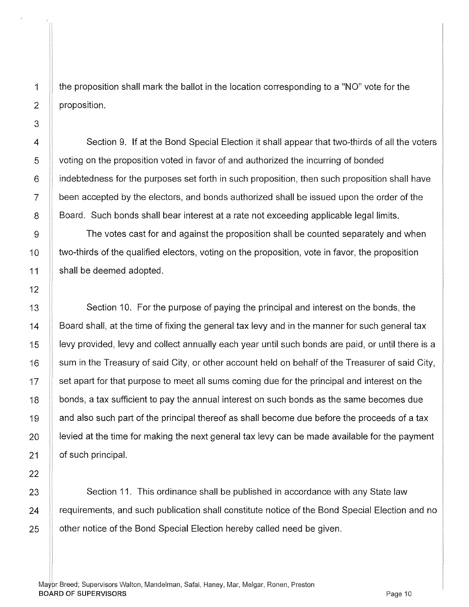the proposition shall mark the ballot in the location corresponding to a "NO" vote for the proposition.

4 Section 9. If at the Bond Special Election it shall appear that two-thirds of all the voters 5 voting on the proposition voted in favor of and authorized the incurring of bonded 6 indebtedness for the purposes set forth in such proposition, then such proposition shall have  $7$  | been accepted by the electors, and bonds authorized shall be issued upon the order of the 8 **Board.** Such bonds shall bear interest at a rate not exceeding applicable legal limits.

9 The votes cast for and against the proposition shall be counted separately and when 10 The two-thirds of the qualified electors, voting on the proposition, vote in favor, the proposition 11 | shall be deemed adopted.

13 Section 10. For the purpose of paying the principal and interest on the bonds, the 14 Board shall, at the time of fixing the general tax levy and in the manner for such general tax 15 **levy provided, levy and collect annually** each year until such bonds are paid, or until there is a  $16$   $\parallel$  sum in the Treasury of said City, or other account held on behalf of the Treasurer of said City, 17 | set apart for that purpose to meet all sums coming due for the principal and interest on the 18 **bonds, a tax sufficient to pay the annual interest on such bonds as the same becomes due** 19 and also such part of the principal thereof as shall become due before the proceeds of a tax 20 **lexted at the time for making the next general tax levy can be made available for the payment** 21 **b** of such principal.

 $23$   $\parallel$  Section 11. This ordinance shall be published in accordance with any State law 24 **Figure 24** requirements, and such publication shall constitute notice of the Bond Special Election and no 25 **other notice of the Bond Special Election hereby called need be given.**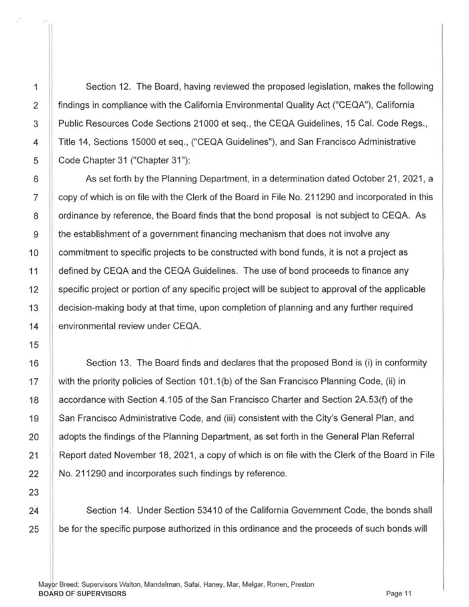! j

1 Section 12. The Board, having reviewed the proposed legislation, makes the following 2 **Findings in compliance with the California Environmental Quality Act ("CEQA"), California** 3 Public Resources Code Sections 21000 et seq., the CEQA Guidelines, 15 Cal. Code Regs., 4 Title 14, Sections 15000 et seq., ("CEQA Guidelines"), and San Francisco Administrative 5 **Code Chapter 31 ("Chapter 31"):** 

6 As set forth by the Planning Department, in a determination dated October 21, 2021, a 7 Copy of which is on file with the Clerk of the Board in File No. 211290 and incorporated in this 8 **S** ordinance by reference, the Board finds that the bond proposal is not subject to CEQA. As 9 the establishment of a government financing mechanism that does not involve any 10 | commitment to specific projects to be constructed with bond funds, it is not a project as 11 **defined by CEQA and the CEQA Guidelines.** The use of bond proceeds to finance any 12 Specific project or portion of any specific project will be subject to approval of the applicable 13 decision-making body at that time, upon completion of planning and any further required 14 **environmental review under CEQA.** 

16 **Section 13. The Board finds and declares that the proposed Bond is (i) in conformity** 17 | with the priority policies of Section 101.1(b) of the San Francisco Planning Code, (ii) in 18 **Laccordance with Section 4.105 of the San Francisco Charter and Section 2A.53(f) of the** 19 | San Francisco Administrative Code, and (iii) consistent with the City's General Plan, and 20 **A** adopts the findings of the Planning Department, as set forth in the General Plan Referral 21 All Report dated November 18, 2021, a copy of which is on file with the Clerk of the Board in File  $22$  | No. 211290 and incorporates such findings by reference.

24 Section 14. Under Section 53410 of the California Government Code, the bonds shall  $25$   $\parallel$  be for the specific purpose authorized in this ordinance and the proceeds of such bonds will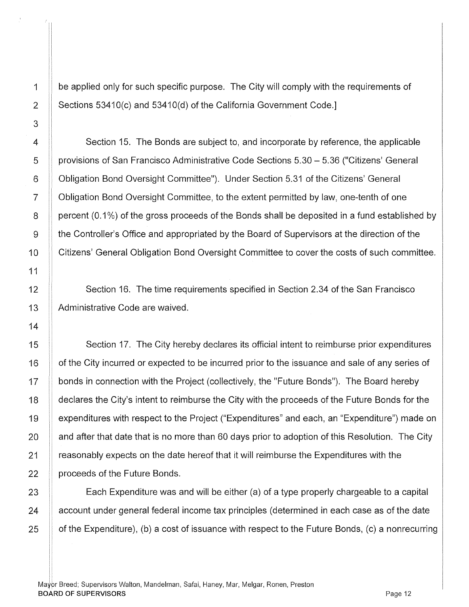1 be applied only for such specific purpose. The City will comply with the requirements of 2  $\parallel$  Sections 53410(c) and 53410(d) of the California Government Code.

4 Section 15. The Bonds are subject to, and incorporate by reference, the applicable 5 **perovisions of San Francisco Administrative Code Sections 5.30 - 5.36 ("Citizens' General** 6 Obligation Bond Oversight Committee"). Under Section 5.31 of the Citizens' General 7 Obligation Bond Oversight Committee, to the extent permitted by law, one-tenth of one 8 percent (0.1%) of the gross proceeds of the Bonds shall be deposited in a fund established by 9 the Controller's Office and appropriated by the Board of Supervisors at the direction of the 10 | Citizens' General Obligation Bond Oversight Committee to cover the costs of such committee.

Section 16. The time requirements specified in Section 2.34 of the San Francisco Administrative Code are waived.

15 **Section 17.** The City hereby declares its official intent to reimburse prior expenditures 16 | of the City incurred or expected to be incurred prior to the issuance and sale of any series of 17 | bonds in connection with the Project (collectively, the "Future Bonds"). The Board hereby 18 | declares the City's intent to reimburse the City with the proceeds of the Future Bonds for the 19 | expenditures with respect to the Project ("Expenditures" and each, an "Expenditure") made on 20  $\parallel$  and after that date that is no more than 60 days prior to adoption of this Resolution. The City 21 **1** reasonably expects on the date hereof that it will reimburse the Expenditures with the  $22$  | proceeds of the Future Bonds.

23 **Each Expenditure was and will be either (a) of a type properly chargeable to a capital** 24 **account under general federal income tax principles (determined in each case as of the date** 25  $\parallel$  of the Expenditure), (b) a cost of issuance with respect to the Future Bonds, (c) a nonrecurring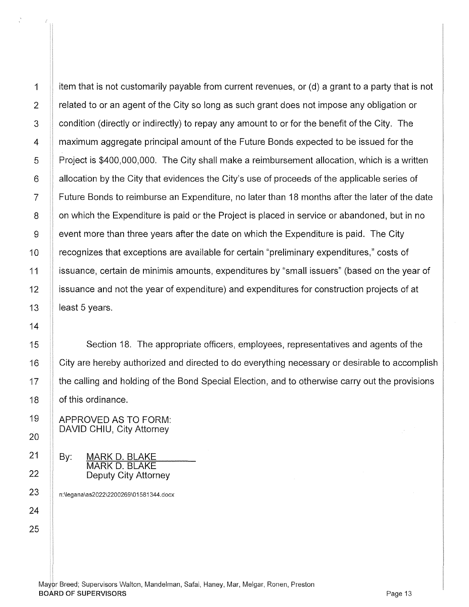1 item that is not customarily payable from current revenues, or (d) a grant to a party that is not 2  $\parallel$  related to or an agent of the City so long as such grant does not impose any obligation or 3 **condition (directly or indirectly) to repay any amount to or for the benefit of the City.** The 4 **1** maximum aggregate principal amount of the Future Bonds expected to be issued for the 5 Project is \$400,000,000. The City shall make a reimbursement allocation, which is a written  $6$  | allocation by the City that evidences the City's use of proceeds of the applicable series of 7 Future Bonds to reimburse an Expenditure, no later than 18 months after the later of the date 8 | on which the Expenditure is paid or the Project is placed in service or abandoned, but in no 9 event more than three years after the date on which the Expenditure is paid. The City 10 **Figure 1** or cognizes that exceptions are available for certain "preliminary expenditures," costs of 11 issuance, certain de minimis amounts, expenditures by "small issuers" (based on the year of 12 | issuance and not the year of expenditure) and expenditures for construction projects of at 13  $\parallel$  least 5 years.

Section 18. The appropriate officers, employees, representatives and agents of the City are hereby authorized and directed to do everything necessary or desirable to accomplish the calling and holding of the Bond Special Election, and to otherwise carry out the provisions of this ordinance.

APPROVED AS TO FORM: DAVID CHIU, City Attorney

By: MARK D. BLAKE MARK D. BLAKE Deputy City Attorney

n:\legana\as2022\2200269\01581344.docx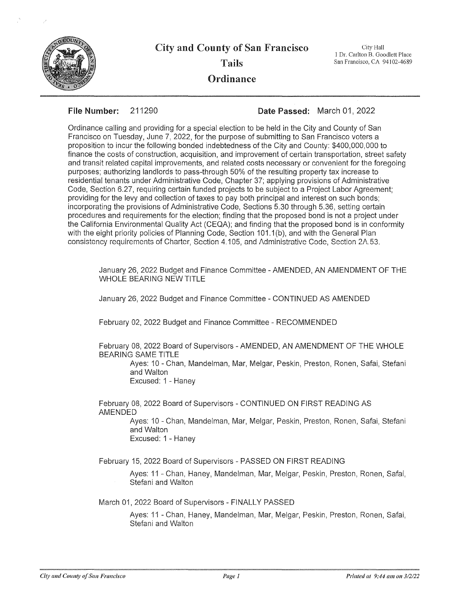

City and County of San Francisco Tails **Ordinance** 

City Hall I Dr. Carlton B. Goodlett Place San Francisco, CA 94102-4689

**File Number:** 211290 **Date** Passed: March 01, 2022

Ordinance calling and providing for a special election to be held in the City and County of San Francisco on Tuesday, June 7, 2022, for the purpose of submitting to San Francisco voters a proposition to incur the following bonded indebtedness of the City and County: \$400,000,000 to finance the costs of construction, acquisition, and improvement of certain transportation, street safety and transit related capital improvements, and related costs necessary or convenient for the foregoing purposes; authorizing landlords to pass-through 50% of the resulting property tax increase to residential tenants under Administrative Code, Chapter 37; applying provisions of Administrative Code, Section 6.27, requiring certain funded projects to be subject to a Project Labor Agreement; providing for the levy and collection of taxes to pay both principal and interest on such bonds; incorporating the provisions of Administrative Code, Sections 5.30 through 5.36, setting certain procedures and requirements for the election; finding that the proposed bond is not a project under the California Environmental Quality Act (CEQA); and finding that the proposed bond is in conformity with the eight priority policies of Planning Code, Section 101.1(b), and with the General Plan consistency requirements of Charter, Section 4.105, and Administrative Code, Section 2A.53.

January 26, 2022 Budget and Finance Committee -AMENDED, AN AMENDMENT OF THE WHOLE BEARING NEW TITLE

January 26, 2022 Budget and Finance Committee - CONTINUED AS AMENDED

February 02, 2022 Budget and Finance Committee - RECOMMENDED

February 08, 2022 Board of Supervisors - AMENDED, AN AMENDMENT OF THE WHOLE BEARING SAME TITLE

Ayes: 10 - Chan, Mandelman, Mar, Melgar, Peskin, Preston, Ronen, Safai, Stefani and Walton Excused: 1 - Haney

February 08, 2022 Board of Supervisors - CONTINUED ON FIRST READING AS AMENDED

> Ayes: 10 - Chan, Mandelman, Mar, Melgar, Peskin, Preston, Ronen, Safai, Stefani and Walton Excused: 1 - Haney

February 15, 2022 Board of Supervisors - PASSED ON FIRST READING

Ayes: 11 - Chan, Haney, Mandelman, Mar, Melgar, Peskin, Preston, Ronen, Safai, Stefani and Walton

March 01, 2022 Board of Supervisors - FINALLY PASSED

Ayes: 11 - Chan, Haney, Mandelman, Mar, Melgar, Peskin, Preston, Ronen, Safai, Stefani and Walton